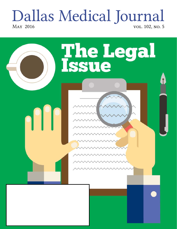# Dallas Medical Journal *May 2016 vol. 102, no. 5*

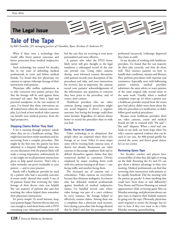### The Legal Issue

# $=$   $=$

## Tale of the Tape

*by Bill Chamblee, JD; managing partner of Chamblee, Ryan, Kershaw & Anderson PC*

What if there were a technology that would offer better patient outcomes and better protection from medical malpractice claims?

Such technology has existed for decades, but in my years of defending medical professionals in court and before medical boards, I've found that few physicians use cameras to capture videotape footage of their interactions with patients.

Physicians offer endless explanations as to why (concerns over patient privacy, fear that the footage will be used against them, increased red tape). But from a legal and practical standpoint, in the vast majority of cases, I've found that those reservations are all washed away when the cameras come into play. Let's look at how medical video cameras can benefit your medical practice, from the legal perspective.

#### Stopping Claims Before They Start

A lot is running through patients' minds when they are in a healthcare setting. They might have just been under anesthesia and are recovering from a complex procedure. This might be the first time the patient has been admitted to a hospital. Although your oneon-one discussion with the patient likely will make a strong impression, unfortunately he or she might not recall pertinent instructions given to help speed recovery. That's why a video reminder can prove invaluable to your patient — and to your practice.

Rarely will a healthcare provider be sued by a patient who had a successful outcome. A recent study<sup>1</sup> showed that nearly 9 out of 10 patients found that reviewing the video footage of their doctor visits was helpful. The vast majority of patients also said that watching the videos helped them remember their physician's instructions.

It's pretty simple: To avoid lawsuits, keep your patients happy. Patients who see that you care enough to send them home with a DVD containing your videotaped instructions will feel the care they are receiving is even more personalized and more effective.

A patient who takes the DVD home likely never will give thought to the legal insulation a videotaped record of the visit can provide you. Using video cameras during your informed consent discussions with patients records your description of the procedures and risks, and your instructions for recovery. Just as important, the cameras record your patients' acknowledgements of the information, any questions or concerns they have prior to the procedure, and, of course, their consent.

Healthcare providers who use video cameras during surgical procedures might not avoid litigation if there's a negative outcome, but having the footage could deter some lawsuits. Regardless, it's almost always better to record the procedure than to wish you had.

#### Smile, You're on Camera

Video technology is so ubiquitous that people often are surprised when there isn't footage of an event. Police in most major cities will be wearing body cameras soon, if they're not already. Restaurants use video cameras to discourage employee theft and to defend themselves against claims that they overserved alcohol to customers. Drivers employed by major trucking firms work with two cameras running at all times — one facing traffic and another facing them.

The increased use of cameras isn't a coincidence. Video cameras are everywhere because they eliminate ambiguity. As a lawyer who has defended medical professionals against hundreds of medical malpractice claims, I've handled several cases where video footage was part of a case's evidence. In every instance, the footage helped to effectively counter claims. Among these was a complaint that a physician used excessive force during a procedure (the footage showed that he didn't) and that the procedures were

performed incorrectly (videotape disproved that claim as well).

In my decades of working with healthcare providers, I've found that the vast majority do their jobs correctly, and they do them well. They instruct patients on how to handle their conditions, injuries and illnesses. They perform procedures with expertise and consistency. Especially now, with ballooning patient volumes, medical providers administer the same advice or warn patients of the same surgical risks several times in the same week. Usually, when a medical complaint crops up, it's when a patient says a healthcare provider strayed from the norm, gave bad advice, didn't warn them about the risks of a procedure or a medication, or didn't follow good medical procedures.

Because most healthcare providers don't use video cameras, courts and medical boards are left to contend with "He said" / "She said" disputes. When a med mal case lands on my desk, my heart leaps when I'm told a camera captured evidence that can be used in our case. An 800-pound gorilla has entered the room, and there's good chance he's in our corner.

#### Reviewing Game Tape

For decades, coaches and players have reviewed film of what they did right or wrong on the field. Knowing the  $X$ 's and  $O$ 's can give them a distinct advantage in their next meeting. Medical professionals can find that reviewing their interactions with patients to be equally beneficial. Did the meeting with the patient go poorly? Is there anything that could have been done or said differently? Tony Romo and Peyton Manning see missed opportunities while reviewing game film on Monday mornings, and physicians always can spot ways to improve their bedside manners by going over the tape. Obviously, physicians aren't required to review the footage, but it's nice to have if they ever want to do a little Monday morning quarterbacking.